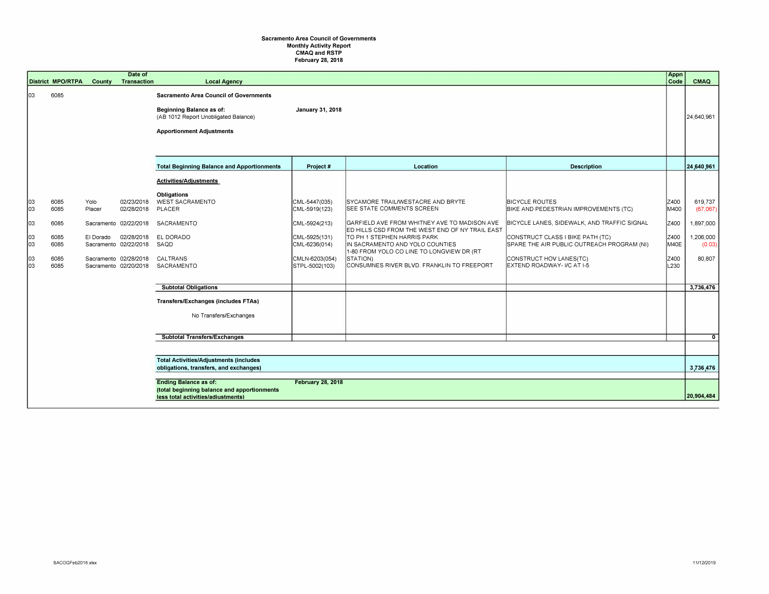## **Sacramento Area Council of Governments Monthly Activity Report CMAQ and RSTP February 28, 2018**

|                                            | <b>District MPO/RTPA</b>                                                                                                                      | County                      | Date of<br><b>Transaction</b>                                                                                                              | <b>Local Agency</b>                                                                                                                                                                                                                                  |                                                                                                                       |                                                                                                                                                                                                                                                                                                                                                   |                                                                                                                                                                                                                                                          | Appn<br>Code                                         | CMAQ                                                                           |
|--------------------------------------------|-----------------------------------------------------------------------------------------------------------------------------------------------|-----------------------------|--------------------------------------------------------------------------------------------------------------------------------------------|------------------------------------------------------------------------------------------------------------------------------------------------------------------------------------------------------------------------------------------------------|-----------------------------------------------------------------------------------------------------------------------|---------------------------------------------------------------------------------------------------------------------------------------------------------------------------------------------------------------------------------------------------------------------------------------------------------------------------------------------------|----------------------------------------------------------------------------------------------------------------------------------------------------------------------------------------------------------------------------------------------------------|------------------------------------------------------|--------------------------------------------------------------------------------|
| lоз                                        | 6085                                                                                                                                          |                             |                                                                                                                                            | <b>Sacramento Area Council of Governments</b><br>Beginning Balance as of:<br>(AB 1012 Report Unobligated Balance)<br><b>Apportionment Adjustments</b>                                                                                                | <b>January 31, 2018</b>                                                                                               |                                                                                                                                                                                                                                                                                                                                                   |                                                                                                                                                                                                                                                          |                                                      | 24,640,961                                                                     |
|                                            |                                                                                                                                               |                             |                                                                                                                                            | <b>Total Beginning Balance and Apportionments</b>                                                                                                                                                                                                    | Project #                                                                                                             | Location                                                                                                                                                                                                                                                                                                                                          | <b>Description</b>                                                                                                                                                                                                                                       |                                                      | 24.640.961                                                                     |
| 103<br>103<br>03<br>03<br>03<br> 03<br>lo3 | 6085<br>6085<br>6085<br>6085<br>6085<br>6085<br>6085                                                                                          | Yolo<br>Placer<br>El Dorado | 02/23/2018<br>02/28/2018<br>Sacramento 02/22/2018<br>02/28/2018<br>Sacramento 02/22/2018<br>Sacramento 02/28/2018<br>Sacramento 02/20/2018 | Activities/Adjustments<br><b>Obligations</b><br><b>WEST SACRAMENTO</b><br>PLACER<br>SACRAMENTO<br>EL DORADO<br>SAQD<br>CALTRANS<br>SACRAMENTO<br><b>Subtotal Obligations</b><br><b>Transfers/Exchanges (includes FTAs)</b><br>No Transfers/Exchanges | CML-5447(035)<br>CML-5919(123)<br>CML-5924(213)<br>CML-5925(131)<br>CML-6236(014)<br>CMLN-6203(054)<br>STPL-5002(103) | SYCAMORE TRAIL/WESTACRE AND BRYTE<br><b>SEE STATE COMMENTS SCREEN</b><br>GARFIELD AVE FROM WHITNEY AVE TO MADISON AVE<br>ED HILLS CSD FROM THE WEST END OF NY TRAIL EAST<br>TO PH 1 STEPHEN HARRIS PARK<br>IN SACRAMENTO AND YOLO COUNTIES<br>1-80 FROM YOLO CO LINE TO LONGVIEW DR (RT<br>STATION)<br>CONSUMNES RIVER BLVD. FRANKLIN TO FREEPORT | <b>BICYCLE ROUTES</b><br>BIKE AND PEDESTRIAN IMPROVEMENTS (TC)<br>BICYCLE LANES, SIDEWALK, AND TRAFFIC SIGNAL<br>CONSTRUCT CLASS I BIKE PATH (TC)<br>SPARE THE AIR PUBLIC OUTREACH PROGRAM (NI)<br>CONSTRUCT HOV LANES(TC)<br>EXTEND ROADWAY- I/C AT I-5 | Z400<br>M400<br>Z400<br>Z400<br>M40E<br>Z400<br>L230 | 619,737<br>(67,067)<br>1,897,000<br>1,206,000<br>(0.03)<br>80,807<br>3,736,476 |
|                                            |                                                                                                                                               |                             |                                                                                                                                            |                                                                                                                                                                                                                                                      |                                                                                                                       |                                                                                                                                                                                                                                                                                                                                                   |                                                                                                                                                                                                                                                          |                                                      |                                                                                |
|                                            |                                                                                                                                               |                             |                                                                                                                                            | <b>Subtotal Transfers/Exchanges</b>                                                                                                                                                                                                                  |                                                                                                                       |                                                                                                                                                                                                                                                                                                                                                   |                                                                                                                                                                                                                                                          |                                                      | $\overline{\mathbf{0}}$                                                        |
|                                            |                                                                                                                                               |                             |                                                                                                                                            | <b>Total Activities/Adjustments (includes</b><br>obligations, transfers, and exchanges)                                                                                                                                                              |                                                                                                                       |                                                                                                                                                                                                                                                                                                                                                   |                                                                                                                                                                                                                                                          |                                                      | 3,736,476                                                                      |
|                                            | <b>Ending Balance as of:</b><br><b>February 28, 2018</b><br>(total beginning balance and apportionments<br>less total activities/adiustments) |                             |                                                                                                                                            |                                                                                                                                                                                                                                                      |                                                                                                                       |                                                                                                                                                                                                                                                                                                                                                   |                                                                                                                                                                                                                                                          |                                                      | 20,904,484                                                                     |